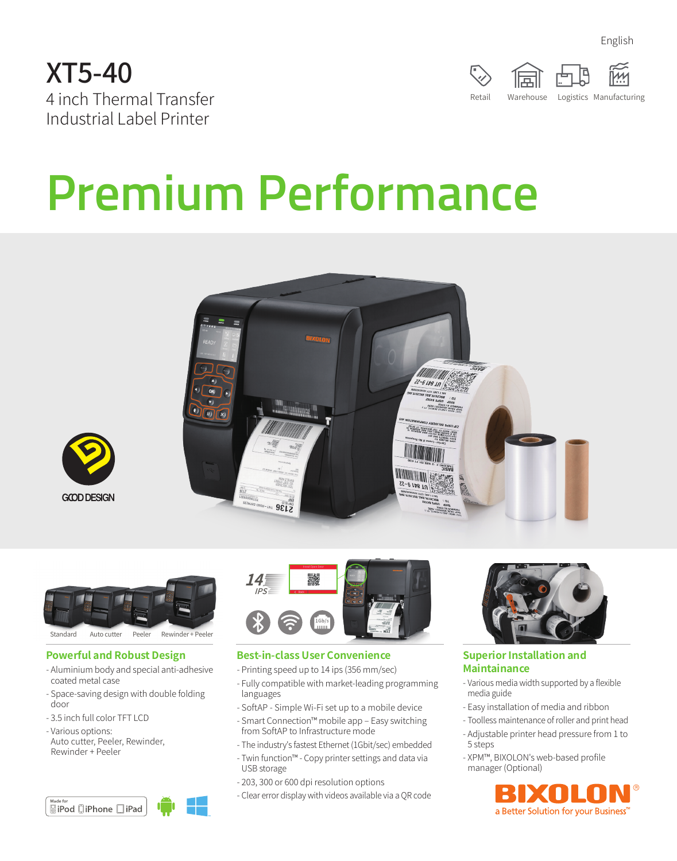English





# **Premium Performance**







#### **Powerful and Robust Design**

- Aluminium body and special anti-adhesive coated metal case
- Space-saving design with double folding door
- 3.5 inch full color TFT LCD
- Various options:
- Auto cutter, Peeler, Rewinder, Rewinder + Peeler

| Made for |               |       |  |
|----------|---------------|-------|--|
|          | aiPod □iPhone | liPad |  |



#### **Best-in-class User Convenience**

- Printing speed up to 14 ips (356 mm/sec)
- Fully compatible with market-leading programming languages
- SoftAP Simple Wi-Fi set up to a mobile device
- Smart Connection™ mobile app Easy switching from SoftAP to Infrastructure mode
- The industry's fastest Ethernet (1Gbit/sec) embedded
- Twin function™ Copy printer settings and data via USB storage
- 203, 300 or 600 dpi resolution options
- Clear error display with videos available via a QR code



#### **Superior Installation and Maintainance**

- Various media width supported by a flexible media guide
- Easy installation of media and ribbon
- Toolless maintenance of roller and print head
- Adjustable printer head pressure from 1 to 5 steps
- XPM™, BIXOLON's web-based profile manager (Optional)